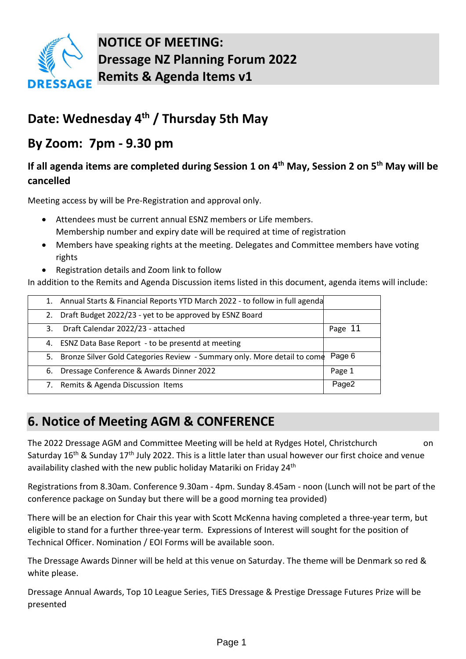

**NOTICE OF MEETING: Dressage NZ Planning Forum 2022 Remits & Agenda Items v1** 

# **Date: Wednesday 4th / Thursday 5th May**

## **By Zoom: 7pm - 9.30 pm**

## **If all agenda items are completed during Session 1 on 4th May, Session 2 on 5th May will be cancelled**

Meeting access by will be Pre-Registration and approval only.

- Attendees must be current annual ESNZ members or Life members. Membership number and expiry date will be required at time of registration
- Members have speaking rights at the meeting. Delegates and Committee members have voting rights
- Registration details and Zoom link to follow

In addition to the Remits and Agenda Discussion items listed in this document, agenda items will include:

| 1. Annual Starts & Financial Reports YTD March 2022 - to follow in full agenda |         |
|--------------------------------------------------------------------------------|---------|
| Draft Budget 2022/23 - yet to be approved by ESNZ Board<br>2.                  |         |
| Draft Calendar 2022/23 - attached<br>3.                                        | Page 11 |
| ESNZ Data Base Report - to be presentd at meeting<br>4.                        |         |
| 5. Bronze Silver Gold Categories Review - Summary only. More detail to come    | Page 6  |
| 6. Dressage Conference & Awards Dinner 2022                                    | Page 1  |
| Remits & Agenda Discussion Items<br>7.                                         | Page2   |

## **6. Notice of Meeting AGM & CONFERENCE**

The 2022 Dressage AGM and Committee Meeting will be held at Rydges Hotel, Christchurch on Saturday 16<sup>th</sup> & Sunday 17<sup>th</sup> July 2022. This is a little later than usual however our first choice and venue availability clashed with the new public holiday Matariki on Friday 24<sup>th</sup>

Registrations from 8.30am. Conference 9.30am - 4pm. Sunday 8.45am - noon (Lunch will not be part of the conference package on Sunday but there will be a good morning tea provided)

There will be an election for Chair this year with Scott McKenna having completed a three-year term, but eligible to stand for a further three-year term. Expressions of Interest will sought for the position of Technical Officer. Nomination / EOI Forms will be available soon.

The Dressage Awards Dinner will be held at this venue on Saturday. The theme will be Denmark so red & white please.

Dressage Annual Awards, Top 10 League Series, TiES Dressage & Prestige Dressage Futures Prize will be presented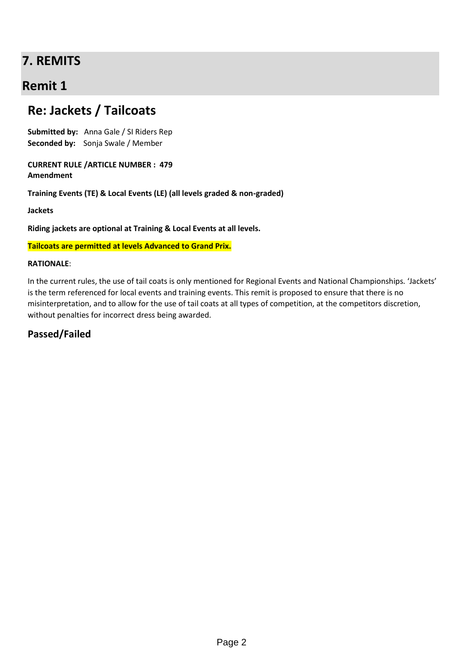## **7. REMITS**

## **Remit 1**

## **Re: Jackets / Tailcoats**

**Submitted by:** Anna Gale / SI Riders Rep **Seconded by:** Sonja Swale / Member

**CURRENT RULE /ARTICLE NUMBER : 479 Amendment** 

**Training Events (TE) & Local Events (LE) (all levels graded & non-graded)**

**Jackets**

**Riding jackets are optional at Training & Local Events at all levels.**

**Tailcoats are permitted at levels Advanced to Grand Prix.**

#### **RATIONALE**:

In the current rules, the use of tail coats is only mentioned for Regional Events and National Championships. 'Jackets' is the term referenced for local events and training events. This remit is proposed to ensure that there is no misinterpretation, and to allow for the use of tail coats at all types of competition, at the competitors discretion, without penalties for incorrect dress being awarded.

### **Passed/Failed**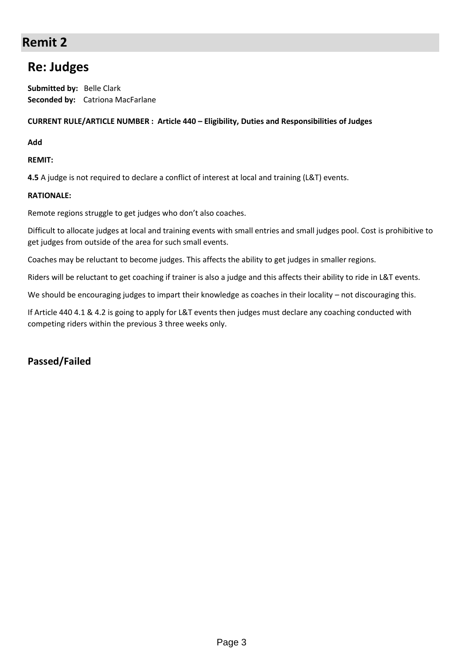## **Remit 2**

## **Re: Judges**

**Submitted by:** Belle Clark **Seconded by:** Catriona MacFarlane

#### **CURRENT RULE/ARTICLE NUMBER : Article 440 – Eligibility, Duties and Responsibilities of Judges**

**Add**

**REMIT:** 

**4.5** A judge is not required to declare a conflict of interest at local and training (L&T) events.

#### **RATIONALE:**

Remote regions struggle to get judges who don't also coaches.

Difficult to allocate judges at local and training events with small entries and small judges pool. Cost is prohibitive to get judges from outside of the area for such small events.

Coaches may be reluctant to become judges. This affects the ability to get judges in smaller regions.

Riders will be reluctant to get coaching if trainer is also a judge and this affects their ability to ride in L&T events.

We should be encouraging judges to impart their knowledge as coaches in their locality – not discouraging this.

If Article 440 4.1 & 4.2 is going to apply for L&T events then judges must declare any coaching conducted with competing riders within the previous 3 three weeks only.

### **Passed/Failed**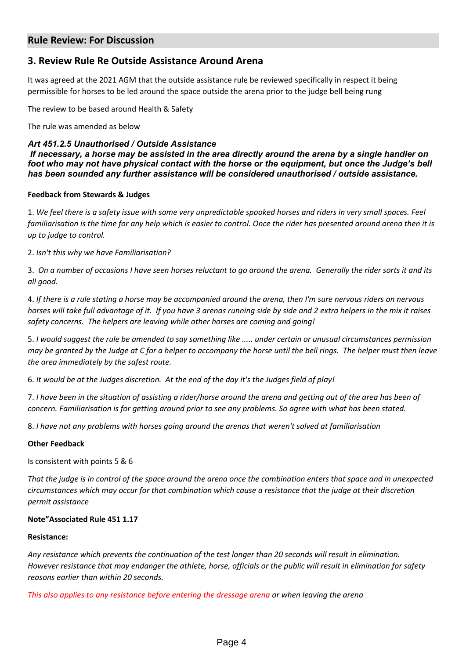### **Rule Review: For Discussion**

### **3. Review Rule Re Outside Assistance Around Arena**

It was agreed at the 2021 AGM that the outside assistance rule be reviewed specifically in respect it being permissible for horses to be led around the space outside the arena prior to the judge bell being rung

The review to be based around Health & Safety

The rule was amended as below

#### *Art 451.2.5 Unauthorised / Outside Assistance*

*If necessary, a horse may be assisted in the area directly around the arena by a single handler on foot who may not have physical contact with the horse or the equipment, but once the Judge's bell has been sounded any further assistance will be considered unauthorised / outside assistance.*

#### **Feedback from Stewards & Judges**

1. *We feel there is a safety issue with some very unpredictable spooked horses and riders in very small spaces. Feel familiarisation is the time for any help which is easier to control. Once the rider has presented around arena then it is up to judge to control.*

2. *Isn't this why we have Familiarisation?*

3. *On a number of occasions I have seen horses reluctant to go around the arena. Generally the rider sorts it and its all good.*

4. *If there is a rule stating a horse may be accompanied around the arena, then I'm sure nervous riders on nervous horses will take full advantage of it. If you have 3 arenas running side by side and 2 extra helpers in the mix it raises safety concerns. The helpers are leaving while other horses are coming and going!*

5. *I would suggest the rule be amended to say something like ..... under certain or unusual circumstances permission may be granted by the Judge at C for a helper to accompany the horse until the bell rings. The helper must then leave the area immediately by the safest route.*

6. *It would be at the Judges discretion. At the end of the day it's the Judges field of play!*

7. *I have been in the situation of assisting a rider/horse around the arena and getting out of the area has been of concern. Familiarisation is for getting around prior to see any problems. So agree with what has been stated.*

8. *I have not any problems with horses going around the arenas that weren't solved at familiarisation*

#### **Other Feedback**

Is consistent with points 5 & 6

*That the judge is in control of the space around the arena once the combination enters that space and in unexpected circumstances which may occur for that combination which cause a resistance that the judge at their discretion permit assistance* 

#### **Note"Associated Rule 451 1.17**

#### **Resistance:**

*Any resistance which prevents the continuation of the test longer than 20 seconds will result in elimination. However resistance that may endanger the athlete, horse, officials or the public will result in elimination for safety reasons earlier than within 20 seconds.* 

*This also applies to any resistance before entering the dressage arena or when leaving the arena*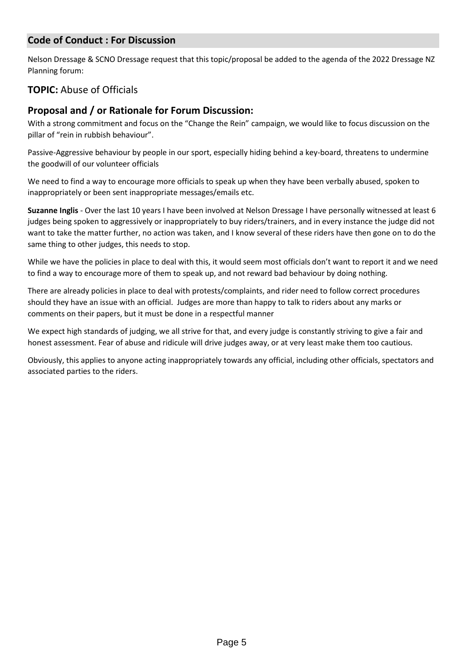### **Code of Conduct : For Discussion**

Nelson Dressage & SCNO Dressage request that this topic/proposal be added to the agenda of the 2022 Dressage NZ Planning forum:

### **TOPIC:** Abuse of Officials

### **Proposal and / or Rationale for Forum Discussion:**

With a strong commitment and focus on the "Change the Rein" campaign, we would like to focus discussion on the pillar of "rein in rubbish behaviour".

Passive-Aggressive behaviour by people in our sport, especially hiding behind a key-board, threatens to undermine the goodwill of our volunteer officials

We need to find a way to encourage more officials to speak up when they have been verbally abused, spoken to inappropriately or been sent inappropriate messages/emails etc.

**Suzanne Inglis** - Over the last 10 years I have been involved at Nelson Dressage I have personally witnessed at least 6 judges being spoken to aggressively or inappropriately to buy riders/trainers, and in every instance the judge did not want to take the matter further, no action was taken, and I know several of these riders have then gone on to do the same thing to other judges, this needs to stop.

While we have the policies in place to deal with this, it would seem most officials don't want to report it and we need to find a way to encourage more of them to speak up, and not reward bad behaviour by doing nothing.

There are already policies in place to deal with protests/complaints, and rider need to follow correct procedures should they have an issue with an official. Judges are more than happy to talk to riders about any marks or comments on their papers, but it must be done in a respectful manner

We expect high standards of judging, we all strive for that, and every judge is constantly striving to give a fair and honest assessment. Fear of abuse and ridicule will drive judges away, or at very least make them too cautious.

Obviously, this applies to anyone acting inappropriately towards any official, including other officials, spectators and associated parties to the riders.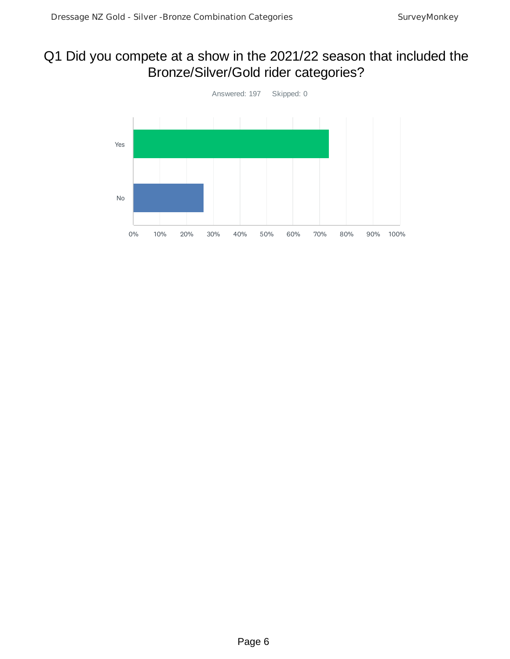## Q1 Did you compete at a show in the 2021/22 season that included the Bronze/Silver/Gold rider categories?

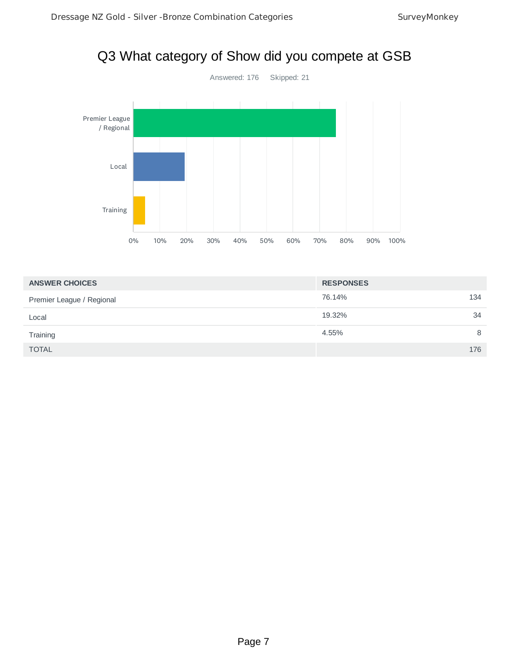



| <b>ANSWER CHOICES</b>     | <b>RESPONSES</b> |     |
|---------------------------|------------------|-----|
| Premier League / Regional | 76.14%           | 134 |
| Local                     | 19.32%           | 34  |
| Training                  | 4.55%            | 8   |
| <b>TOTAL</b>              |                  | 176 |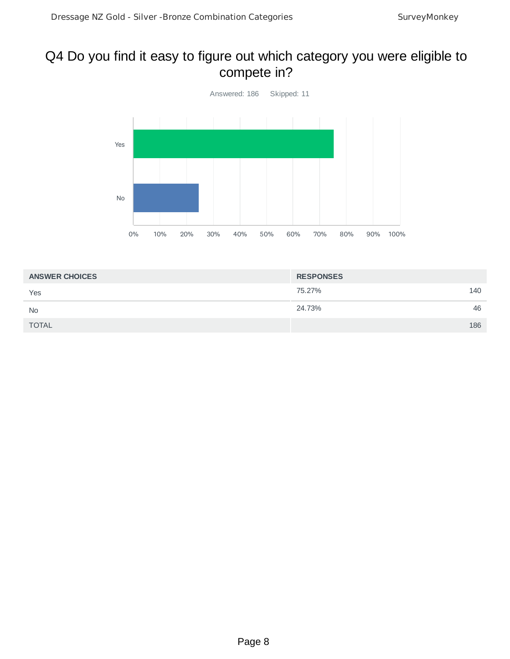## Q4 Do you find it easy to figure out which category you were eligible to compete in?



| <b>ANSWER CHOICES</b> | <b>RESPONSES</b> |
|-----------------------|------------------|
| Yes                   | 75.27%<br>140    |
| <b>No</b>             | 24.73%<br>46     |
| <b>TOTAL</b>          | 186              |
|                       |                  |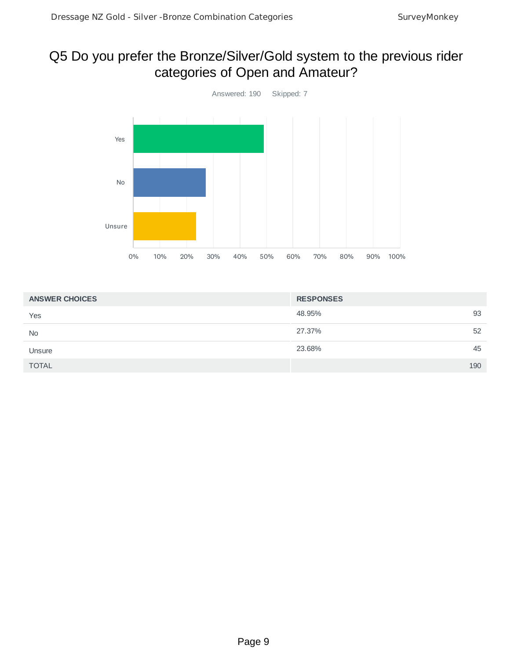## Q5 Do you prefer the Bronze/Silver/Gold system to the previous rider categories of Open and Amateur?



| <b>ANSWER CHOICES</b> | <b>RESPONSES</b> |
|-----------------------|------------------|
| Yes                   | 93<br>48.95%     |
| <b>No</b>             | 27.37%<br>52     |
| Unsure                | 45<br>23.68%     |
| <b>TOTAL</b>          | 190              |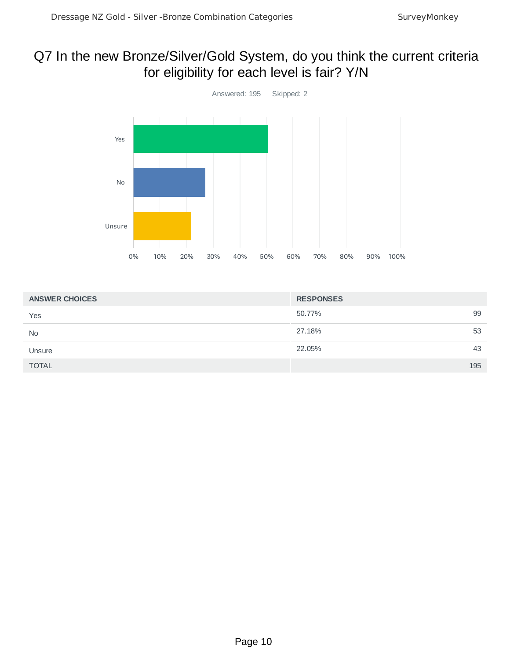## Q7 In the new Bronze/Silver/Gold System, do you think the current criteria for eligibility for each level is fair? Y/N



| <b>ANSWER CHOICES</b> | <b>RESPONSES</b> |
|-----------------------|------------------|
| Yes                   | 99<br>50.77%     |
| <b>No</b>             | 27.18%<br>53     |
| Unsure                | 22.05%<br>43     |
| <b>TOTAL</b>          | 195              |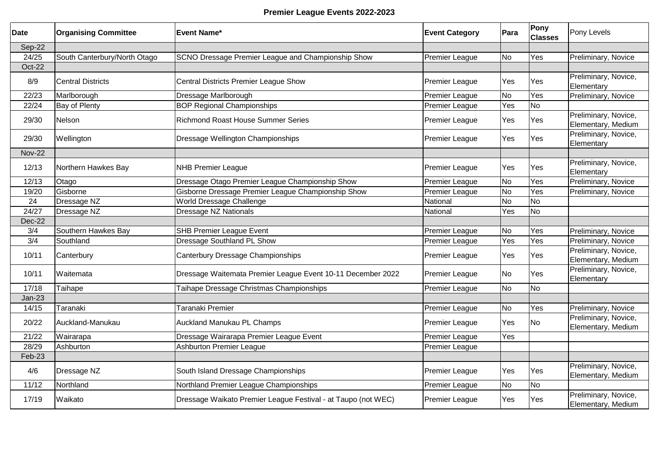### **Premier League Events 2022-2023**

| <b>Date</b>   | <b>Organising Committee</b>  | lEvent Name*                                                  | <b>Event Category</b> | Para      | Pony<br><b>Classes</b> | Pony Levels                                |
|---------------|------------------------------|---------------------------------------------------------------|-----------------------|-----------|------------------------|--------------------------------------------|
| Sep-22        |                              |                                                               |                       |           |                        |                                            |
| 24/25         | South Canterbury/North Otago | SCNO Dressage Premier League and Championship Show            | Premier League        | No        | Yes                    | Preliminary, Novice                        |
| Oct-22        |                              |                                                               |                       |           |                        |                                            |
| 8/9           | <b>Central Districts</b>     | Central Districts Premier League Show                         | Premier League        | Yes       | Yes                    | Preliminary, Novice,<br>Elementary         |
| 22/23         | Marlborough                  | Dressage Marlborough                                          | Premier League        | <b>No</b> | Yes                    | Preliminary, Novice                        |
| 22/24         | Bay of Plenty                | <b>BOP Regional Championships</b>                             | <b>Premier League</b> | Yes       | N <sub>o</sub>         |                                            |
| 29/30         | Nelson                       | <b>Richmond Roast House Summer Series</b>                     | Premier League        | Yes       | Yes                    | Preliminary, Novice,<br>Elementary, Medium |
| 29/30         | Wellington                   | Dressage Wellington Championships                             | Premier League        | Yes       | Yes                    | Preliminary, Novice,<br>Elementary         |
| <b>Nov-22</b> |                              |                                                               |                       |           |                        |                                            |
| 12/13         | Northern Hawkes Bay          | <b>NHB Premier League</b>                                     | <b>Premier League</b> | Yes       | Yes                    | Preliminary, Novice,<br>Elementary         |
| 12/13         | Otago                        | Dressage Otago Premier League Championship Show               | <b>Premier League</b> | No        | Yes                    | Preliminary, Novice                        |
| 19/20         | Gisborne                     | Gisborne Dressage Premier League Championship Show            | Premier League        | <b>No</b> | Yes                    | Preliminary, Novice                        |
| 24            | Dressage NZ                  | World Dressage Challenge                                      | National              | <b>No</b> | No                     |                                            |
| 24/27         | Dressage NZ                  | Dressage NZ Nationals                                         | National              | Yes       | No                     |                                            |
| Dec-22        |                              |                                                               |                       |           |                        |                                            |
| 3/4           | Southern Hawkes Bay          | <b>SHB Premier League Event</b>                               | Premier League        | No        | Yes                    | Preliminary, Novice                        |
| 3/4           | Southland                    | <b>Dressage Southland PL Show</b>                             | Premier League        | Yes       | Yes                    | Preliminary, Novice                        |
| 10/11         | Canterbury                   | Canterbury Dressage Championships                             | <b>Premier League</b> | Yes       | Yes                    | Preliminary, Novice,<br>Elementary, Medium |
| 10/11         | Waitemata                    | Dressage Waitemata Premier League Event 10-11 December 2022   | <b>Premier League</b> | <b>No</b> | Yes                    | Preliminary, Novice,<br>Elementary         |
| 17/18         | Taihape                      | Taihape Dressage Christmas Championships                      | <b>Premier League</b> | No        | <b>No</b>              |                                            |
| $Jan-23$      |                              |                                                               |                       |           |                        |                                            |
| 14/15         | Taranaki                     | Taranaki Premier                                              | Premier League        | No        | Yes                    | Preliminary, Novice                        |
| 20/22         | Auckland-Manukau             | Auckland Manukau PL Champs                                    | <b>Premier League</b> | Yes       | <b>No</b>              | Preliminary, Novice,<br>Elementary, Medium |
| 21/22         | Wairarapa                    | Dressage Wairarapa Premier League Event                       | Premier League        | Yes       |                        |                                            |
| 28/29         | Ashburton                    | <b>Ashburton Premier League</b>                               | Premier League        |           |                        |                                            |
| Feb-23        |                              |                                                               |                       |           |                        |                                            |
| 4/6           | Dressage NZ                  | South Island Dressage Championships                           | Premier League        | Yes       | Yes                    | Preliminary, Novice,<br>Elementary, Medium |
| 11/12         | Northland                    | Northland Premier League Championships                        | Premier League        | <b>No</b> | <b>No</b>              |                                            |
| 17/19         | Waikato                      | Dressage Waikato Premier League Festival - at Taupo (not WEC) | <b>Premier League</b> | Yes       | Yes                    | Preliminary, Novice,<br>Elementary, Medium |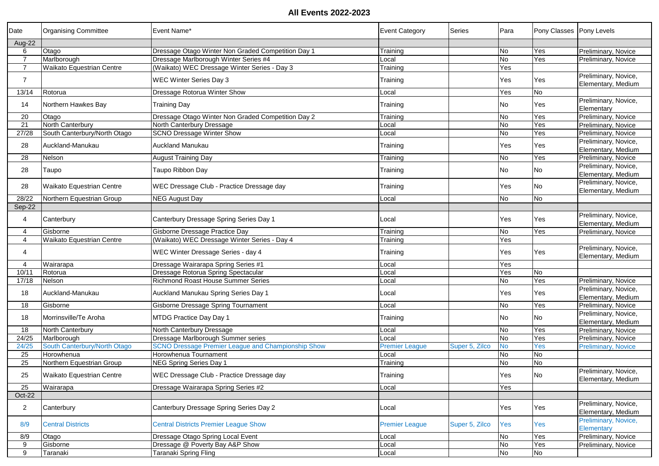| Date           | <b>Organising Committee</b>      | Event Name*                                               | <b>Event Category</b> | <b>Series</b>  | Para      | Pony Classes   Pony Levels |                                            |
|----------------|----------------------------------|-----------------------------------------------------------|-----------------------|----------------|-----------|----------------------------|--------------------------------------------|
| Aug-22         |                                  |                                                           |                       |                |           |                            |                                            |
| 6              | Otago                            | Dressage Otago Winter Non Graded Competition Day 1        | Training              |                | No        | Yes                        | Preliminary, Novice                        |
| $\overline{7}$ | Marlborough                      | Dressage Marlborough Winter Series #4                     | .ocal                 |                | Ю         | Yes                        | Preliminary, Novice                        |
| $\overline{7}$ | Waikato Equestrian Centre        | (Waikato) WEC Dressage Winter Series - Day 3              | Training              |                | Yes       |                            |                                            |
| $\overline{7}$ |                                  | <b>WEC Winter Series Day 3</b>                            | Training              |                | Yes       | Yes                        | Preliminary, Novice,<br>Elementary, Medium |
| 13/14          | Rotorua                          | Dressage Rotorua Winter Show                              | Local                 |                | Yes       | No                         |                                            |
| 14             | Northern Hawkes Bay              | <b>Training Day</b>                                       | Training              |                | No        | Yes                        | Preliminary, Novice,<br>Elementary         |
| 20             | Otago                            | Dressage Otago Winter Non Graded Competition Day 2        | Training              |                | No        | Yes                        | Preliminary, Novice                        |
| 21             | North Canterbury                 | North Canterbury Dressage                                 | .ocal                 |                | No        | Yes                        | Preliminary, Novice                        |
| 27/28          | South Canterbury/North Otago     | <b>SCNO Dressage Winter Show</b>                          | _ocal                 |                | No        | Yes                        | Preliminary, Novice                        |
|                |                                  |                                                           |                       |                |           |                            | Preliminary, Novice,                       |
| 28             | Auckland-Manukau                 | <b>Auckland Manukau</b>                                   | Training              |                | Yes       | Yes                        | Elementary, Medium                         |
| 28             | Nelson                           | <b>August Training Day</b>                                | Training              |                | No        | Yes                        | Preliminary, Novice                        |
|                |                                  |                                                           |                       |                |           | <b>No</b>                  | Preliminary, Novice,                       |
| 28             | Taupo                            | Taupo Ribbon Day                                          | Training              |                | No        |                            | Elementary, Medium                         |
| 28             | <b>Waikato Equestrian Centre</b> | WEC Dressage Club - Practice Dressage day                 | Training              |                | Yes       | <b>No</b>                  | Preliminary, Novice,<br>Elementary, Medium |
| 28/22          | Northern Equestrian Group        | <b>NEG August Day</b>                                     | .ocal                 |                | No        | <b>No</b>                  |                                            |
| Sep-22         |                                  |                                                           |                       |                |           |                            |                                            |
| 4              | Canterbury                       | Canterbury Dressage Spring Series Day 1                   | Local                 |                | Yes       | Yes                        | Preliminary, Novice,<br>Elementary, Medium |
| 4              | Gisborne                         | Gisborne Dressage Practice Day                            | Training              |                | No        | Yes                        | Preliminary, Novice                        |
| 4              | Waikato Equestrian Centre        | (Waikato) WEC Dressage Winter Series - Day 4              | Training              |                | Yes       |                            |                                            |
| 4              |                                  | WEC Winter Dressage Series - day 4                        | Training              |                | Yes       | Yes                        | Preliminary, Novice,<br>Elementary, Medium |
| 4              | Wairarapa                        | Dressage Wairarapa Spring Series #1                       | .ocal                 |                | Yes       |                            |                                            |
| 10/11          | Rotorua                          | Dressage Rotorua Spring Spectacular                       | .ocal                 |                | Yes       | No                         |                                            |
| 17/18          | Nelson                           | <b>Richmond Roast House Summer Series</b>                 | .ocal                 |                | <b>No</b> | Yes                        | Preliminary, Novice                        |
| 18             | Auckland-Manukau                 | Auckland Manukau Spring Series Day 1                      | _ocal                 |                | Yes       | Yes                        | Preliminary, Novice,<br>Elementary, Medium |
| 18             | Gisborne                         | Gisborne Dressage Spring Tournament                       | _ocal                 |                | No        | Yes                        | Preliminary, Novice                        |
| 18             | Morrinsville/Te Aroha            | MTDG Practice Day Day 1                                   | Training              |                | No        | No                         | Preliminary, Novice,<br>Elementary, Medium |
| 18             | North Canterbury                 | North Canterbury Dressage                                 | _ocal                 |                | <b>No</b> | Yes                        | Preliminary, Novice                        |
| 24/25          | Marlborough                      | Dressage Marlborough Summer series                        | .ocal                 |                | <b>No</b> | Yes                        | Preliminary, Novice                        |
| 24/25          | South Canterbury/North Otago     | <b>SCNO Dressage Premier League and Championship Show</b> | <b>Premier League</b> | Super 5, Zilco | <b>No</b> | Yes                        | <b>Preliminary, Novice</b>                 |
| 25             | Horowhenua                       | Horowhenua Tournament                                     | .ocal                 |                | No        | <b>No</b>                  |                                            |
| 25             | Northern Equestrian Group        | NEG Spring Series Day 1                                   | Training              |                | <b>No</b> | Ю                          |                                            |
| 25             | Waikato Equestrian Centre        | WEC Dressage Club - Practice Dressage day                 | Training              |                | Yes       | No                         | Preliminary, Novice,<br>Elementary, Medium |
| 25             | Wairarapa                        | Dressage Wairarapa Spring Series #2                       | Local                 |                | Yes       |                            |                                            |
| Oct-22         |                                  |                                                           |                       |                |           |                            |                                            |
| $\overline{2}$ | Canterbury                       | Canterbury Dressage Spring Series Day 2                   | Local                 |                | Yes       | Yes                        | Preliminary, Novice,<br>Elementary, Medium |
| 8/9            | <b>Central Districts</b>         | <b>Central Districts Premier League Show</b>              | <b>Premier League</b> | Super 5, Zilco | Yes       | Yes                        | Preliminary, Novice,<br>Elementary         |
| 8/9            | Otago                            | Dressage Otago Spring Local Event                         | .ocal                 |                | No        | Yes                        | Preliminary, Novice                        |
| 9              | Gisborne                         | Dressage @ Poverty Bay A&P Show                           | Local                 |                | No        | Yes                        | Preliminary, Novice                        |
| 9              | Taranaki                         | Taranaki Spring Fling                                     | Local                 |                | No        | No                         |                                            |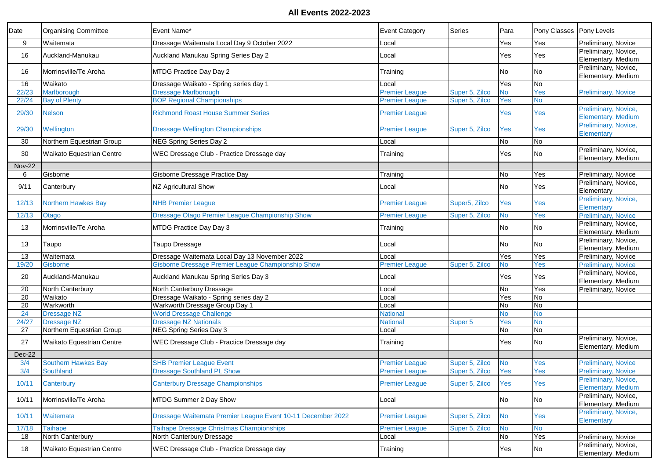| Date          | <b>Organising Committee</b> | Event Name*                                                 | Event Category        | Series         | Para      | Pony Classes   Pony Levels |                                                   |
|---------------|-----------------------------|-------------------------------------------------------------|-----------------------|----------------|-----------|----------------------------|---------------------------------------------------|
| 9             | Waitemata                   | Dressage Waitemata Local Day 9 October 2022                 | .ocal                 |                | Yes       | Yes                        | Preliminary, Novice                               |
| 16            | Auckland-Manukau            | Auckland Manukau Spring Series Day 2                        | _ocal                 |                | Yes       | Yes                        | Preliminary, Novice,                              |
|               |                             |                                                             |                       |                |           |                            | Elementary, Medium                                |
| 16            | Morrinsville/Te Aroha       | MTDG Practice Day Day 2                                     | Training              |                | No        | <b>No</b>                  | Preliminary, Novice,                              |
|               |                             |                                                             |                       |                |           |                            | Elementary, Medium                                |
| 16            | Waikato                     | Dressage Waikato - Spring series day 1                      | _ocal                 |                | Yes       | No                         |                                                   |
| 22/23         | Marlborough                 | <b>Dressage Marlborough</b>                                 | <b>Premier League</b> | Super 5, Zilco | <b>No</b> | Yes                        | <b>Preliminary, Novice</b>                        |
| 22/24         | <b>Bay of Plenty</b>        | <b>BOP Regional Championships</b>                           | <b>Premier League</b> | Super 5, Zilco | Yes       | <b>No</b>                  |                                                   |
| 29/30         | <b>Nelson</b>               | <b>Richmond Roast House Summer Series</b>                   | <b>Premier League</b> |                | Yes       | Yes                        | Preliminary, Novice,<br><b>Elementary, Medium</b> |
| 29/30         | Wellington                  | <b>Dressage Wellington Championships</b>                    | <b>Premier League</b> | Super 5, Zilco | Yes       | Yes                        | Preliminary, Novice,<br>Elementary                |
| 30            | Northern Equestrian Group   | NEG Spring Series Day 2                                     | .ocal                 |                | No        | No                         |                                                   |
| 30            | Waikato Equestrian Centre   | WEC Dressage Club - Practice Dressage day                   |                       |                | Yes       | No                         | Preliminary, Novice,                              |
|               |                             |                                                             | Training              |                |           |                            | Elementary, Medium                                |
| <b>Nov-22</b> |                             |                                                             |                       |                |           |                            |                                                   |
| 6             | Gisborne                    | Gisborne Dressage Practice Day                              | Training              |                | <b>No</b> | Yes                        | Preliminary, Novice                               |
| 9/11          | Canterbury                  | NZ Agricultural Show                                        | Local                 |                | No        | Yes                        | Preliminary, Novice,<br>Elementary                |
| 12/13         | <b>Northern Hawkes Bay</b>  | <b>NHB Premier League</b>                                   | <b>Premier League</b> | Super5, Zilco  | Yes       | Yes                        | Preliminary, Novice,<br>Elementarv                |
| 12/13         | Otago                       | Dressage Otago Premier League Championship Show             | <b>Premier League</b> | Super 5, Zilco | <b>No</b> | Yes                        | <b>Preliminary, Novice</b>                        |
| 13            | Morrinsville/Te Aroha       | MTDG Practice Day Day 3                                     | Training              |                | <b>No</b> | No                         | Preliminary, Novice,<br>Elementary, Medium        |
|               |                             |                                                             |                       |                |           |                            | Preliminary, Novice,                              |
| 13            | Taupo                       | Taupo Dressage                                              | ∟ocal                 |                | No        | No                         | Elementary, Medium                                |
| 13            | Waitemata                   | Dressage Waitemata Local Day 13 November 2022               | .ocal                 |                | Yes       | Yes                        | Preliminary, Novice                               |
| 19/20         | Gisborne                    | Gisborne Dressage Premier League Championship Show          | <b>Premier League</b> | Super 5, Zilco | <b>No</b> | Yes                        | <b>Preliminary, Novice</b>                        |
| 20            | Auckland-Manukau            | Auckland Manukau Spring Series Day 3                        | ∟ocal                 |                | Yes       | Yes                        | Preliminary, Novice,<br>Elementary, Medium        |
| 20            | North Canterbury            | North Canterbury Dressage                                   | .ocal                 |                | <b>No</b> | Yes                        | Preliminary, Novice                               |
| 20            | Waikato                     | Dressage Waikato - Spring series day 2                      | _ocal                 |                | Yes       | <b>No</b>                  |                                                   |
| 20            | Warkworth                   | Warkworth Dressage Group Day 1                              | _ocal                 |                | Ю         | <b>No</b>                  |                                                   |
| 24            | Dressage NZ                 | <b>World Dressage Challenge</b>                             | <b>National</b>       |                | <b>No</b> | No                         |                                                   |
| 24/27         | <b>Dressage NZ</b>          | <b>Dressage NZ Nationals</b>                                | <b>National</b>       | Super 5        | Yes       | <b>No</b>                  |                                                   |
| 27            | Northern Equestrian Group   | NEG Spring Series Day 3                                     | .ocal                 |                | No        | <b>No</b>                  |                                                   |
| 27            | Waikato Equestrian Centre   | WEC Dressage Club - Practice Dressage day                   | Training              |                | Yes       | No                         | Preliminary, Novice,<br>Elementary, Medium        |
| Dec-22        |                             |                                                             |                       |                |           |                            |                                                   |
| 3/4           | <b>Southern Hawkes Bay</b>  | <b>SHB Premier League Event</b>                             | <b>Premier League</b> | Super 5, Zilco | <b>No</b> | Yes                        | <b>Preliminary, Novice</b>                        |
| 3/4           | Southland                   | <b>Dressage Southland PL Show</b>                           | <b>Premier League</b> | Super 5, Zilco | Yes       | <b>Yes</b>                 | <b>Preliminary, Novice</b>                        |
|               |                             |                                                             |                       |                |           |                            | Preliminary, Novice,                              |
| 10/11         | Canterbury                  | <b>Canterbury Dressage Championships</b>                    | <b>Premier League</b> | Super 5, Zilco | Yes       | Yes                        | <b>Elementary, Medium</b>                         |
|               |                             |                                                             |                       |                |           |                            | Preliminary, Novice,                              |
| 10/11         | Morrinsville/Te Aroha       | MTDG Summer 2 Day Show                                      | Local                 |                | No        | <b>No</b>                  | Elementary, Medium                                |
|               |                             |                                                             |                       |                |           |                            | Preliminary, Novice,                              |
| 10/11         | Waitemata                   | Dressage Waitemata Premier League Event 10-11 December 2022 | <b>Premier League</b> | Super 5, Zilco | <b>No</b> | Yes                        | Elementary                                        |
| 17/18         | <b>Taihape</b>              | Taihape Dressage Christmas Championships                    | <b>Premier League</b> | Super 5, Zilco | <b>No</b> | <b>No</b>                  |                                                   |
| 18            | North Canterbury            | North Canterbury Dressage                                   | ∟ocal                 |                | Ο         | Yes                        | Preliminary, Novice                               |
| 18            | Waikato Equestrian Centre   | WEC Dressage Club - Practice Dressage day                   | Training              |                | Yes       | No                         | Preliminary, Novice,                              |
|               |                             |                                                             |                       |                |           |                            | Elementary, Medium                                |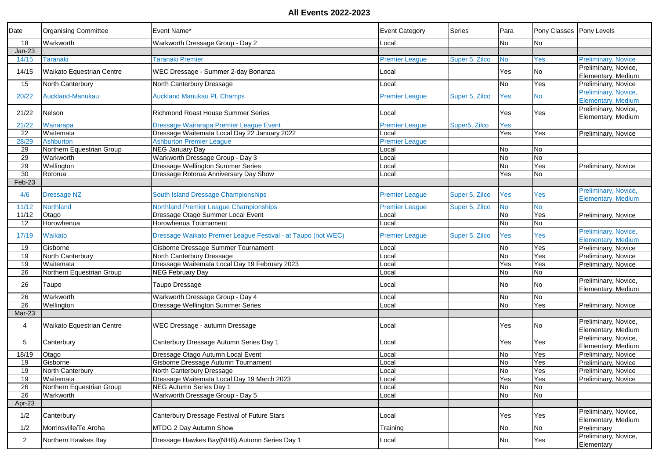| Date            | <b>Organising Committee</b> | Event Name*                                                   | <b>Event Category</b> | Series         | Para                     | Pony Classes   Pony Levels |                                                   |
|-----------------|-----------------------------|---------------------------------------------------------------|-----------------------|----------------|--------------------------|----------------------------|---------------------------------------------------|
| 18              | Warkworth                   | Warkworth Dressage Group - Day 2                              | Local                 |                | No                       | No                         |                                                   |
| $Jan-23$        |                             |                                                               |                       |                |                          |                            |                                                   |
| 14/15           | <b>Taranaki</b>             | <b>Taranaki Premier</b>                                       | <b>Premier League</b> | Super 5, Zilco | No                       | Yes                        | <b>Preliminary, Novice</b>                        |
| 14/15           | Waikato Equestrian Centre   | WEC Dressage - Summer 2-day Bonanza                           | Local                 |                | Yes                      | No                         | Preliminary, Novice,                              |
|                 |                             |                                                               |                       |                |                          |                            | Elementary, Medium                                |
| 15              | North Canterbury            | North Canterbury Dressage                                     | _ocal                 |                | <b>No</b>                | Yes                        | Preliminary, Novice                               |
| 20/22           | Auckland-Manukau            | <b>Auckland Manukau PL Champs</b>                             | <b>Premier League</b> | Super 5, Zilco | Yes                      | <b>No</b>                  | Preliminary, Novice,<br><b>Elementary, Medium</b> |
| 21/22           | Nelson                      | <b>Richmond Roast House Summer Series</b>                     | Local                 |                | Yes                      | Yes                        | Preliminary, Novice,<br>Elementary, Medium        |
| 21/22           | Wairarapa                   | Dressage Wairarapa Premier League Event                       | <b>Premier League</b> | Super5, Zilco  | Yes                      |                            |                                                   |
| $\overline{22}$ | Waitemata                   | Dressage Waitemata Local Day 22 January 2022                  | _ocal                 |                | Yes                      | Yes                        | Preliminary, Novice                               |
| 28/29           | <b>Ashburton</b>            | <b>Ashburton Premier League</b>                               | <b>Premier League</b> |                |                          |                            |                                                   |
| 29              | Northern Equestrian Group   | <b>NEG January Day</b>                                        | .ocal                 |                | No                       | <b>No</b>                  |                                                   |
| 29              | Warkworth                   | Warkworth Dressage Group - Day 3                              | Local                 |                | <b>No</b>                | δ                          |                                                   |
| 29              | Wellington                  | Dressage Wellington Summer Series                             | Local                 |                | No                       | Yes                        | Preliminary, Novice                               |
| 30              | Rotorua                     | Dressage Rotorua Anniversary Day Show                         | Local                 |                | Yes                      | <b>No</b>                  |                                                   |
| Feb-23          |                             |                                                               |                       |                |                          |                            |                                                   |
|                 |                             |                                                               |                       |                |                          |                            | Preliminary, Novice,                              |
| 4/6             | Dressage NZ                 | South Island Dressage Championships                           | <b>Premier League</b> | Super 5, Zilco | Yes                      | Yes                        | <b>Elementary, Medium</b>                         |
| 11/12           | Northland                   | Northland Premier League Championships                        | Premier League        | Super 5, Zilco | <b>No</b>                | <b>No</b>                  |                                                   |
| 11/12           | Otago                       | Dressage Otago Summer Local Event                             | _ocal                 |                | No                       | Yes                        | Preliminary, Novice                               |
| 12              | Horowhenua                  | Horowhenua Tournament                                         | Local                 |                | No                       | ΟN                         |                                                   |
| 17/19           | Waikato                     | Dressage Waikato Premier League Festival - at Taupo (not WEC) | <b>Premier League</b> | Super 5, Zilco | Yes                      | Yes                        | Preliminary, Novice,                              |
|                 |                             |                                                               |                       |                |                          |                            | <b>Elementary, Medium</b>                         |
| 19              | Gisborne                    | Gisborne Dressage Summer Tournament                           | Local                 |                | No                       | Yes                        | Preliminary, Novice                               |
| 19              | North Canterbury            | North Canterbury Dressage                                     | Local                 |                | <b>No</b>                | Yes                        | Preliminary, Novice                               |
| 19              | Waitemata                   | Dressage Waitemata Local Day 19 February 2023                 | Local                 |                | Yes                      | Yes                        | Preliminary, Novice                               |
| 26              | Northern Equestrian Group   | <b>NEG February Day</b>                                       | ∟ocal                 |                | No                       | $\overline{N}$             |                                                   |
| 26              | Taupo                       | Taupo Dressage                                                | Local                 |                | No                       | <b>No</b>                  | Preliminary, Novice,<br>Elementary, Medium        |
| 26              | Warkworth                   | Warkworth Dressage Group - Day 4                              | Local                 |                | No                       | No                         |                                                   |
| $\overline{26}$ | Wellington                  | Dressage Wellington Summer Series                             | _ocal                 |                | <b>No</b>                | Yes                        | Preliminary, Novice                               |
| Mar-23          |                             |                                                               |                       |                |                          |                            |                                                   |
| 4               | Waikato Equestrian Centre   | WEC Dressage - autumn Dressage                                | ∟ocal                 |                | Yes                      | No                         | Preliminary, Novice,<br>Elementary, Medium        |
| 5               | Canterbury                  | Canterbury Dressage Autumn Series Day 1                       | Local                 |                | Yes                      | Yes                        | Preliminary, Novice,<br>Elementary, Medium        |
| 18/19           | Otago                       | Dressage Otago Autumn Local Event                             | ∟ocal                 |                | No                       | Yes                        | Preliminary, Novice                               |
| 19              | Gisborne                    | Gisborne Dressage Autumn Tournament                           | Local                 |                | No                       | Yes                        | Preliminary, Novice                               |
| 19              | North Canterbury            | North Canterbury Dressage                                     | Local                 |                | No                       | Yes                        | Preliminary, Novice                               |
| 19              | Waitemata                   | Dressage Waitemata Local Day 19 March 2023                    | Local                 |                | Yes                      | Yes                        | Preliminary, Novice                               |
| 26              | Northern Equestrian Group   | NEG Autumn Series Day 1                                       | Local                 |                | $\overline{\mathsf{No}}$ | No                         |                                                   |
| 26              | Warkworth                   | Warkworth Dressage Group - Day 5                              | Local                 |                | No                       | No                         |                                                   |
| Apr-23          |                             |                                                               |                       |                |                          |                            |                                                   |
|                 |                             |                                                               |                       |                |                          |                            | Preliminary, Novice,                              |
| 1/2             | Canterbury                  | Canterbury Dressage Festival of Future Stars                  | Local                 |                | Yes                      | Yes                        | Elementary, Medium                                |
| 1/2             | Morrinsville/Te Aroha       | MTDG 2 Day Autumn Show                                        | Training              |                | No                       | No                         | Preliminary                                       |
| $\overline{2}$  | Northern Hawkes Bay         | Dressage Hawkes Bay(NHB) Autumn Series Day 1                  | Local                 |                | No                       | Yes                        | Preliminary, Novice,<br>Elementary                |